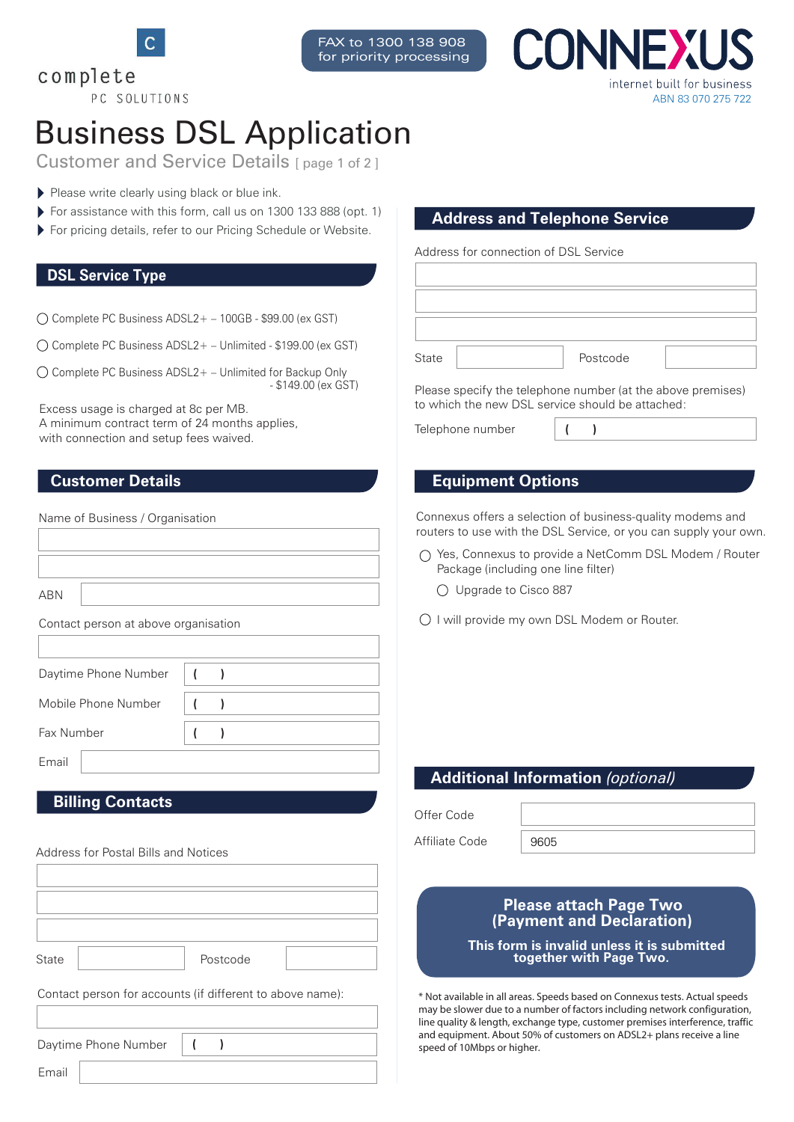

PC SOLUTIONS

FAX to 1300 138 908 for priority processing **INNF)** internet built for business ABN 83 070 275 722

# Business DSL Application

Customer and Service Details [page 1 of 2]

- Please write clearly using black or blue ink.
- For assistance with this form, call us on 1300 133 888 (opt. 1)
- **For assistance with this form, call us on 1300 133 888 (opt. 1) Address and Telephone Service For pricing details, refer to our Pricing Schedule or Website.** Address and Telephone Service

### **DSL Service Type**

complete

 $\bigcap$  Complete PC Business ADSL2+ – 100GB - \$99.00 (ex GST)

 $\bigcirc$  Complete PC Business ADSL2 + - Unlimited - \$199.00 (ex GST)

 $\bigcirc$  Complete PC Business ADSL2+ – Unlimited for Backup Only - \$149.00 (ex GST)

Excess usage is charged at 8c per MB. A minimum contract term of 24 months applies, with connection and setup fees waived.

### **Customer Details**

Name of Business / Organisation

ABN

Contact person at above organisation

Daytime Phone Number

Mobile Phone Number **( )**

Fax Number

Email

### **Billing Contacts**

| Address for Postal Bills and Notices                      |
|-----------------------------------------------------------|
|                                                           |
|                                                           |
|                                                           |
|                                                           |
| Postcode<br>State                                         |
| Contact person for accounts (if different to above name): |
|                                                           |
| Daytime Phone Number<br>1                                 |
| Email                                                     |

**( )**

**( )**

Address for connection of DSL Service

| State | Postcode |  |
|-------|----------|--|

Please specify the telephone number (at the above premises) to which the new DSL service should be attached:

Telephone number **( )**

### **Equipment Options**

Connexus offers a selection of business-quality modems and routers to use with the DSL Service, or you can supply your own.

- Yes, Connexus to provide a NetComm DSL Modem / Router Package (including one line filter)
	- Upgrade to Cisco 887
- O I will provide my own DSL Modem or Router.

### **Additional Information** *(optional)*

Offer Code

Affiliate Code

9605

### **Please attach Page Two (Payment and Declaration)**

**This form is invalid unless it is submitted together with Page Two.**

\* Not available in all areas. Speeds based on Connexus tests. Actual speeds may be slower due to a number of factors including network configuration, line quality & length, exchange type, customer premises interference, traffic and equipment. About 50% of customers on ADSL2+ plans receive a line speed of 10Mbps or higher.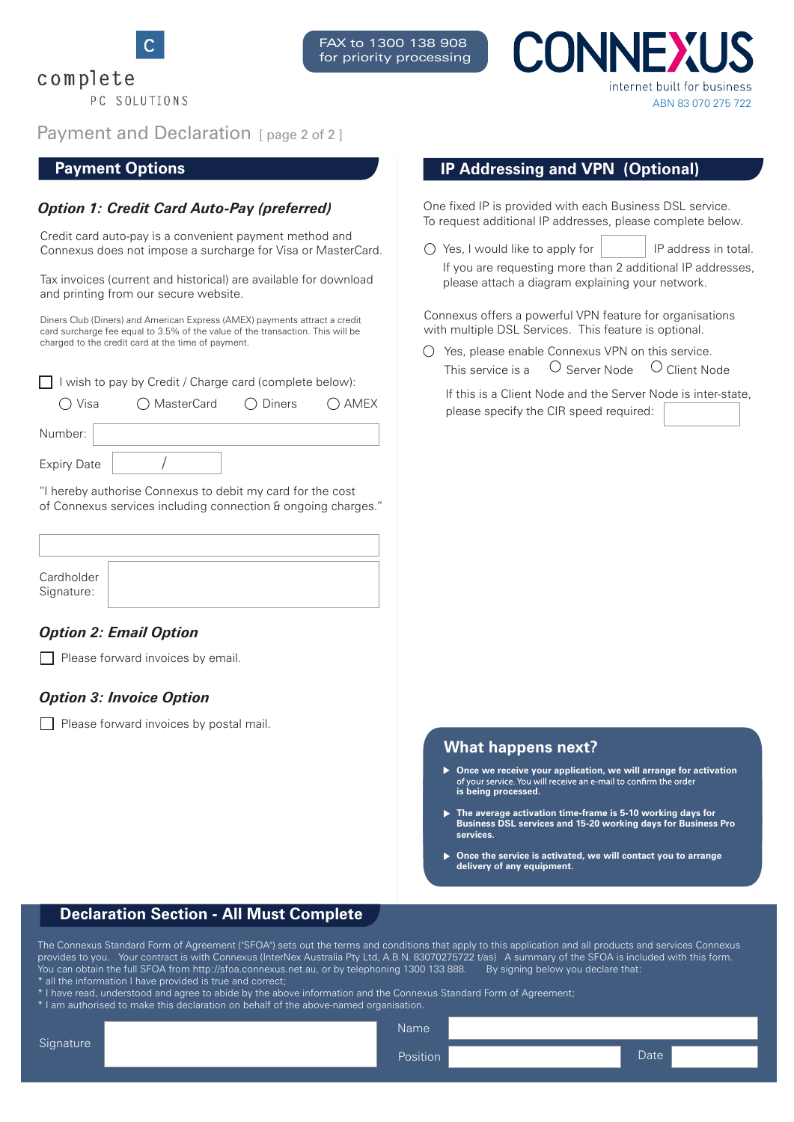

complete PC SOLUTIONS



INNE) internet built for business ABN 83 070 275 722

Payment and Declaration [page 2 of 2]

### **Payment Options**

### *Option 1: Credit Card Auto-Pay (preferred)*

Credit card auto-pay is a convenient payment method and Connexus does not impose a surcharge for Visa or MasterCard.

Tax invoices (current and historical) are available for download and printing from our secure website.

Diners Club (Diners) and American Express (AMEX) payments attract a credit card surcharge fee equal to 3.5% of the value of the transaction. This will be charged to the credit card at the time of payment.

| □ I wish to pay by Credit / Charge card (complete below):  |                         |  |         |  |  |
|------------------------------------------------------------|-------------------------|--|---------|--|--|
| ◯ Visa                                                     | ◯ MasterCard   ◯ Diners |  | () AMEX |  |  |
| Number:                                                    |                         |  |         |  |  |
| <b>Expiry Date</b>                                         |                         |  |         |  |  |
| "I horoby quthorize Connovus to dobit my eard for the east |                         |  |         |  |  |

hereby authorise Connexus to debit my card for the cost of Connexus services including connection & ongoing charges."

| Cardholder<br>Signature: |  |
|--------------------------|--|

### *Option 2: Email Option*

 $\Box$  Please forward invoices by email.

### *Option 3: Invoice Option*

Please forward invoices by postal mail.

| <b>IP Addressing and VPN (Optional)</b> |  |  |
|-----------------------------------------|--|--|
|-----------------------------------------|--|--|

One fixed IP is provided with each Business DSL service. To request additional IP addresses, please complete below.

 $\bigcirc$  Yes, I would like to apply for  $\bigcirc$  IP address in total. If you are requesting more than 2 additional IP addresses, please attach a diagram explaining your network.

Connexus offers a powerful VPN feature for organisations with multiple DSL Services. This feature is optional.

 $\bigcirc$  Yes, please enable Connexus VPN on this service. This service is a  $\Box$  Server Node  $\Box$  Client Node

If this is a Client Node and the Server Node is inter-state, please specify the CIR speed required:

### **What happens next?**

- **Die we receive your application, we will arrange for activation** of your service. You will receive an e-mail to confirm the order **is being processed.**
- **The average activation time-frame is 5-10 working days for Business DSL services and 15-20 working days for Business Pro services.**
- **Once the service is activated, we will contact you to arrange delivery of any equipment.**

### **Declaration Section - All Must Complete**

The Connexus Standard Form of Agreement ("SFOA") sets out the terms and conditions that apply to this application and all products and services Connexus provides to you. Your contract is with Connexus (InterNex Australia Pty Ltd, A.B.N. 83070275722 t/as) A summary of the SFOA is included with this form. .<br>You can obtain the full SFOA from http://sfoa.connexus.net.au, or by telephoning 1300 133 888. │ By signing below you declare that:  $^\ast$  all the information I have provided is true and correct;

\* I have read, understood and agree to abide by the above information and the Connexus Standard Form of Agreement;

\* I am authorised to make this declaration on behalf of the above-named organisation.

Position Date Name

#### **Signature**